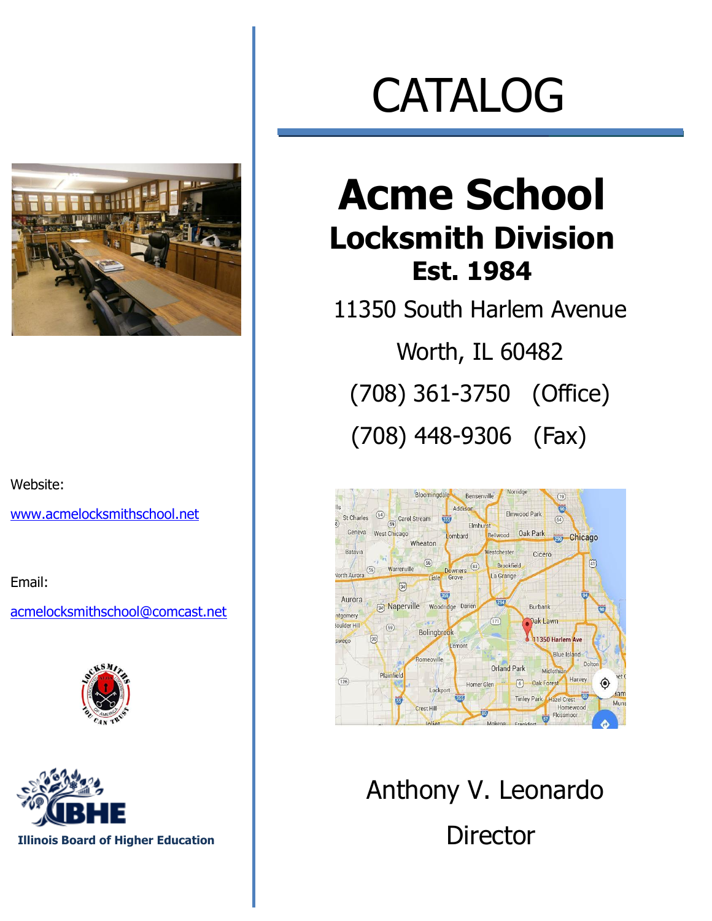Website:

[www.acmelocksmithschool.net](http://www.acmelocksmithschool.net/)

Email:

[acmelocksmithschool@comcast.net](mailto:acmelocksmithschool@comcast.net)





# CATALOG

### **Acme School Locksmith Division Est. 1984**

11350 South Harlem Avenue Worth, IL 60482 (708) 361-3750 (Office)

(708) 448-9306 (Fax)



Anthony V. Leonardo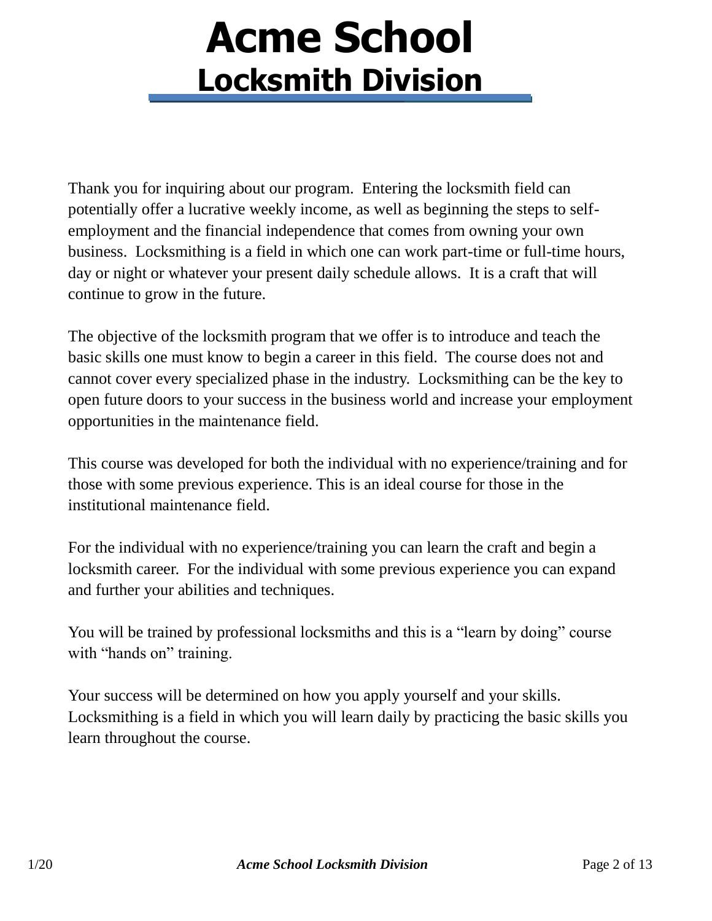Thank you for inquiring about our program. Entering the locksmith field can potentially offer a lucrative weekly income, as well as beginning the steps to selfemployment and the financial independence that comes from owning your own business. Locksmithing is a field in which one can work part-time or full-time hours, day or night or whatever your present daily schedule allows. It is a craft that will continue to grow in the future.

The objective of the locksmith program that we offer is to introduce and teach the basic skills one must know to begin a career in this field. The course does not and cannot cover every specialized phase in the industry. Locksmithing can be the key to open future doors to your success in the business world and increase your employment opportunities in the maintenance field.

This course was developed for both the individual with no experience/training and for those with some previous experience. This is an ideal course for those in the institutional maintenance field.

For the individual with no experience/training you can learn the craft and begin a locksmith career. For the individual with some previous experience you can expand and further your abilities and techniques.

You will be trained by professional locksmiths and this is a "learn by doing" course with "hands on" training.

Your success will be determined on how you apply yourself and your skills. Locksmithing is a field in which you will learn daily by practicing the basic skills you learn throughout the course.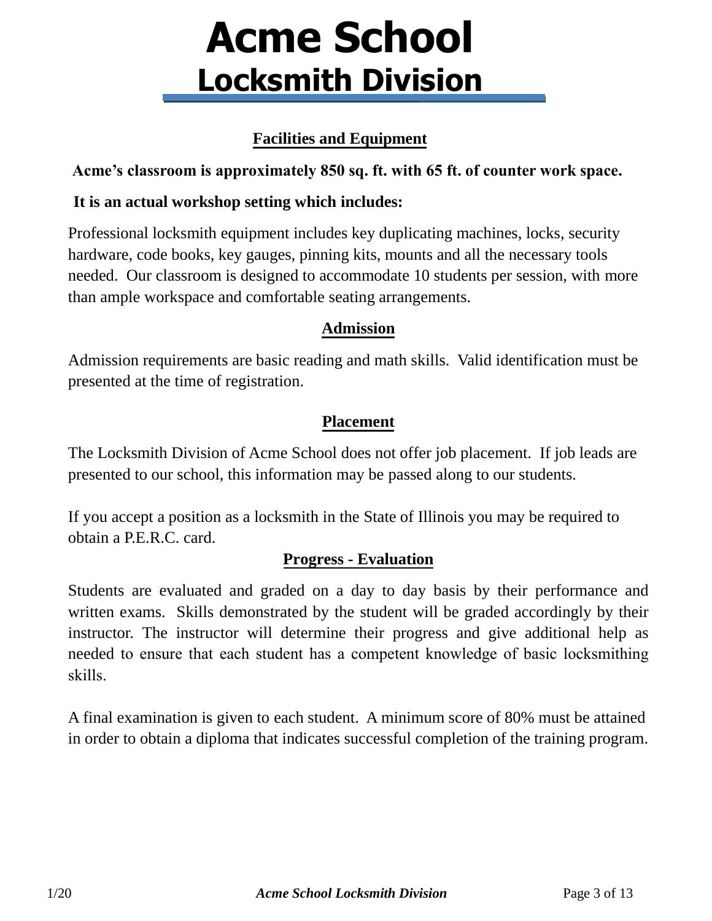#### **Facilities and Equipment**

#### **Acme's classroom is approximately 850 sq. ft. with 65 ft. of counter work space.**

#### **It is an actual workshop setting which includes:**

Professional locksmith equipment includes key duplicating machines, locks, security hardware, code books, key gauges, pinning kits, mounts and all the necessary tools needed. Our classroom is designed to accommodate 10 students per session, with more than ample workspace and comfortable seating arrangements.

#### **Admission**

Admission requirements are basic reading and math skills. Valid identification must be presented at the time of registration.

#### **Placement**

The Locksmith Division of Acme School does not offer job placement. If job leads are presented to our school, this information may be passed along to our students.

If you accept a position as a locksmith in the State of Illinois you may be required to obtain a P.E.R.C. card.

#### **Progress - Evaluation**

Students are evaluated and graded on a day to day basis by their performance and written exams. Skills demonstrated by the student will be graded accordingly by their instructor. The instructor will determine their progress and give additional help as needed to ensure that each student has a competent knowledge of basic locksmithing skills.

A final examination is given to each student. A minimum score of 80% must be attained in order to obtain a diploma that indicates successful completion of the training program.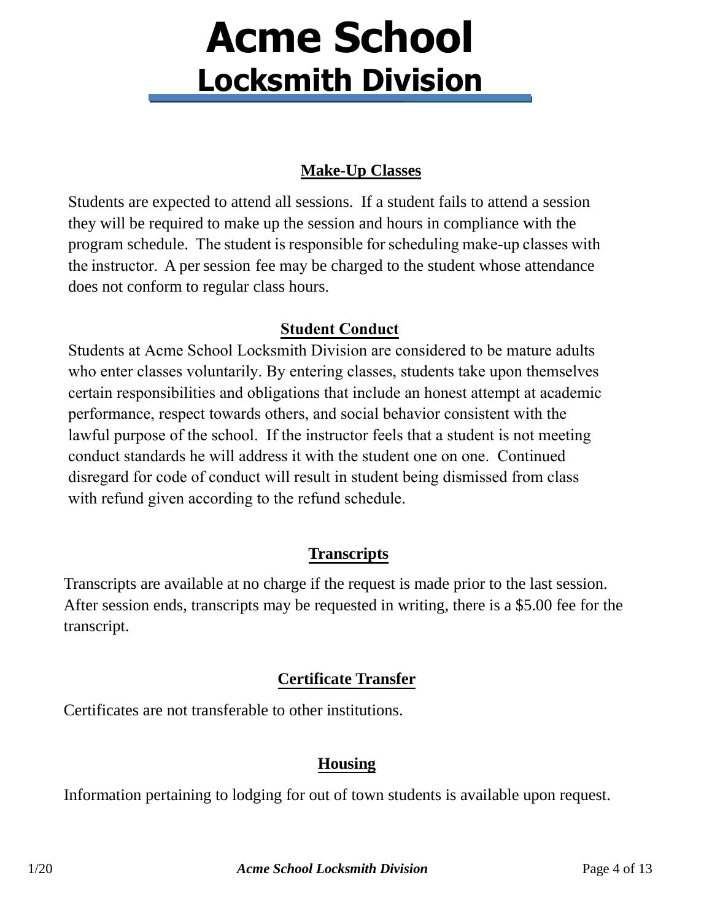#### **Make-Up Classes**

Students are expected to attend all sessions. If a student fails to attend a session they will be required to make up the session and hours in compliance with the program schedule. The student is responsible for scheduling make-up classes with the instructor. A per session fee may be charged to the student whose attendance does not conform to regular class hours.

#### **Student Conduct**

Students at Acme School Locksmith Division are considered to be mature adults who enter classes voluntarily. By entering classes, students take upon themselves certain responsibilities and obligations that include an honest attempt at academic performance, respect towards others, and social behavior consistent with the lawful purpose of the school. If the instructor feels that a student is not meeting conduct standards he will address it with the student one on one. Continued disregard for code of conduct will result in student being dismissed from class with refund given according to the refund schedule.

#### **Transcripts**

Transcripts are available at no charge if the request is made prior to the last session. After session ends, transcripts may be requested in writing, there is a \$5.00 fee for the transcript.

#### **Certificate Transfer**

Certificates are not transferable to other institutions.

#### **Housing**

Information pertaining to lodging for out of town students is available upon request.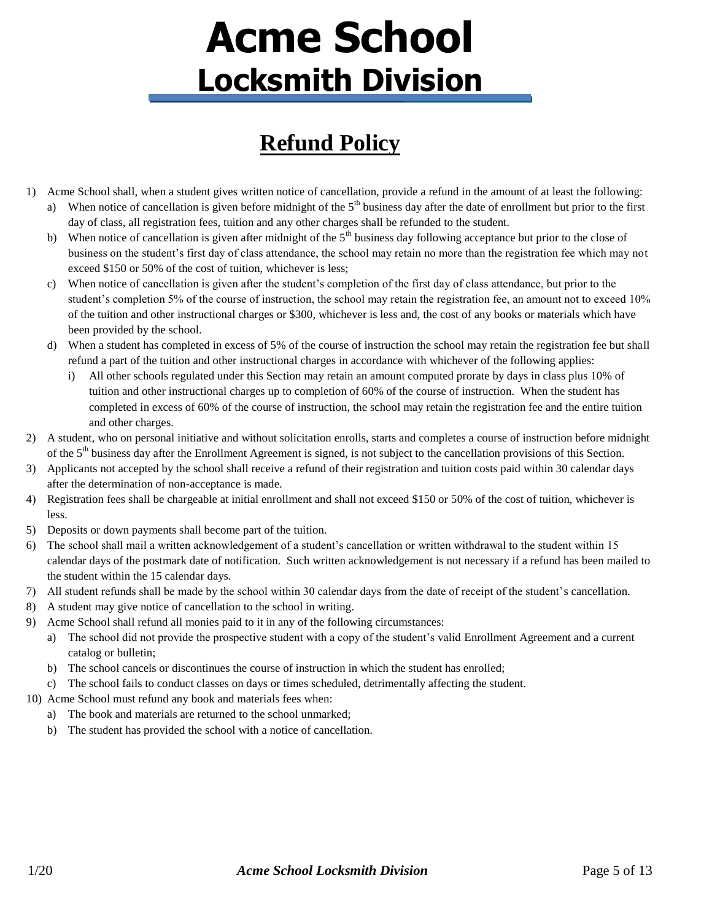### **Refund Policy**

- 1) Acme School shall, when a student gives written notice of cancellation, provide a refund in the amount of at least the following: a) When notice of cancellation is given before midnight of the  $5<sup>th</sup>$  business day after the date of enrollment but prior to the first
	- day of class, all registration fees, tuition and any other charges shall be refunded to the student. b) When notice of cancellation is given after midnight of the  $5<sup>th</sup>$  business day following acceptance but prior to the close of
	- business on the student's first day of class attendance, the school may retain no more than the registration fee which may not exceed \$150 or 50% of the cost of tuition, whichever is less;
	- c) When notice of cancellation is given after the student's completion of the first day of class attendance, but prior to the student's completion 5% of the course of instruction, the school may retain the registration fee, an amount not to exceed 10% of the tuition and other instructional charges or \$300, whichever is less and, the cost of any books or materials which have been provided by the school.
	- d) When a student has completed in excess of 5% of the course of instruction the school may retain the registration fee but shall refund a part of the tuition and other instructional charges in accordance with whichever of the following applies:
		- i) All other schools regulated under this Section may retain an amount computed prorate by days in class plus 10% of tuition and other instructional charges up to completion of 60% of the course of instruction. When the student has completed in excess of 60% of the course of instruction, the school may retain the registration fee and the entire tuition and other charges.
- 2) A student, who on personal initiative and without solicitation enrolls, starts and completes a course of instruction before midnight of the 5<sup>th</sup> business day after the Enrollment Agreement is signed, is not subject to the cancellation provisions of this Section.
- 3) Applicants not accepted by the school shall receive a refund of their registration and tuition costs paid within 30 calendar days after the determination of non-acceptance is made.
- 4) Registration fees shall be chargeable at initial enrollment and shall not exceed \$150 or 50% of the cost of tuition, whichever is less.
- 5) Deposits or down payments shall become part of the tuition.
- 6) The school shall mail a written acknowledgement of a student's cancellation or written withdrawal to the student within 15 calendar days of the postmark date of notification. Such written acknowledgement is not necessary if a refund has been mailed to the student within the 15 calendar days.
- 7) All student refunds shall be made by the school within 30 calendar days from the date of receipt of the student's cancellation.
- 8) A student may give notice of cancellation to the school in writing.
- 9) Acme School shall refund all monies paid to it in any of the following circumstances:
	- a) The school did not provide the prospective student with a copy of the student's valid Enrollment Agreement and a current catalog or bulletin;
	- b) The school cancels or discontinues the course of instruction in which the student has enrolled;
	- c) The school fails to conduct classes on days or times scheduled, detrimentally affecting the student.
- 10) Acme School must refund any book and materials fees when:
	- a) The book and materials are returned to the school unmarked;
	- b) The student has provided the school with a notice of cancellation.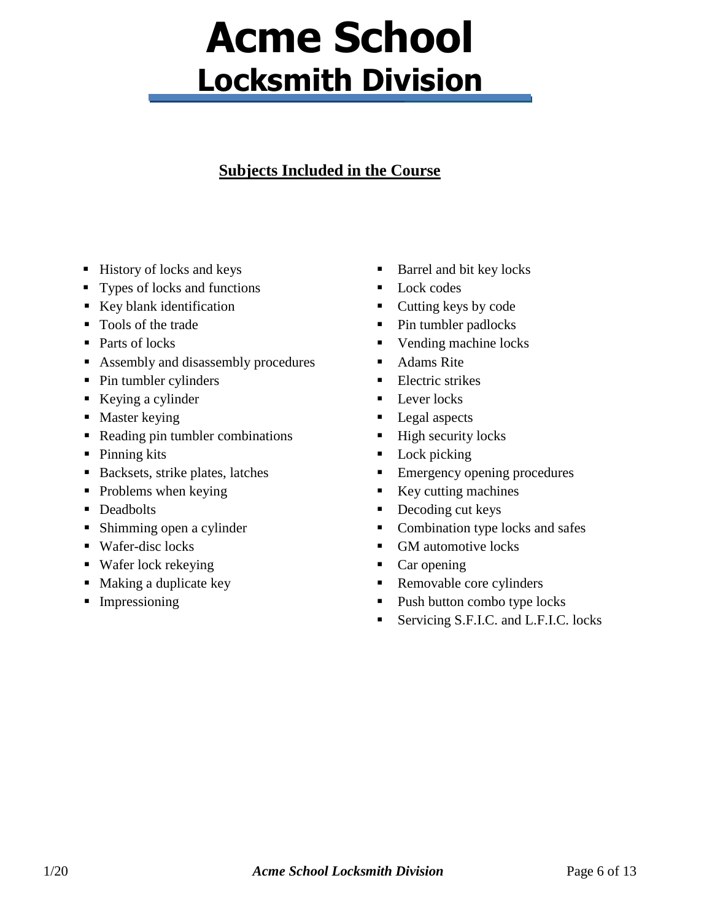#### **Subjects Included in the Course**

- $\blacksquare$  History of locks and keys
- **Types of locks and functions**
- $\blacksquare$  Key blank identification
- Tools of the trade
- Parts of locks
- Assembly and disassembly procedures
- Pin tumbler cylinders
- Keying a cylinder
- $\nightharpoonup$  Master keying
- Reading pin tumbler combinations
- Pinning kits
- Backsets, strike plates, latches
- $\blacksquare$  Problems when keying
- Deadbolts
- **Shimming open a cylinder**
- Wafer-disc locks
- Wafer lock rekeying
- Making a duplicate key
- **Impressioning**
- Barrel and bit key locks
- **Lock codes**
- $\blacksquare$  Cutting keys by code
- Pin tumbler padlocks
- Vending machine locks
- Adams Rite
- $\blacksquare$  Electric strikes
- $\blacksquare$  Lever locks
- Legal aspects
- $\blacksquare$  High security locks
- Lock picking
- **Emergency opening procedures**
- Key cutting machines
- Decoding cut keys
- Combination type locks and safes
- GM automotive locks
- Car opening
- Removable core cylinders
- Push button combo type locks
- Servicing S.F.I.C. and L.F.I.C. locks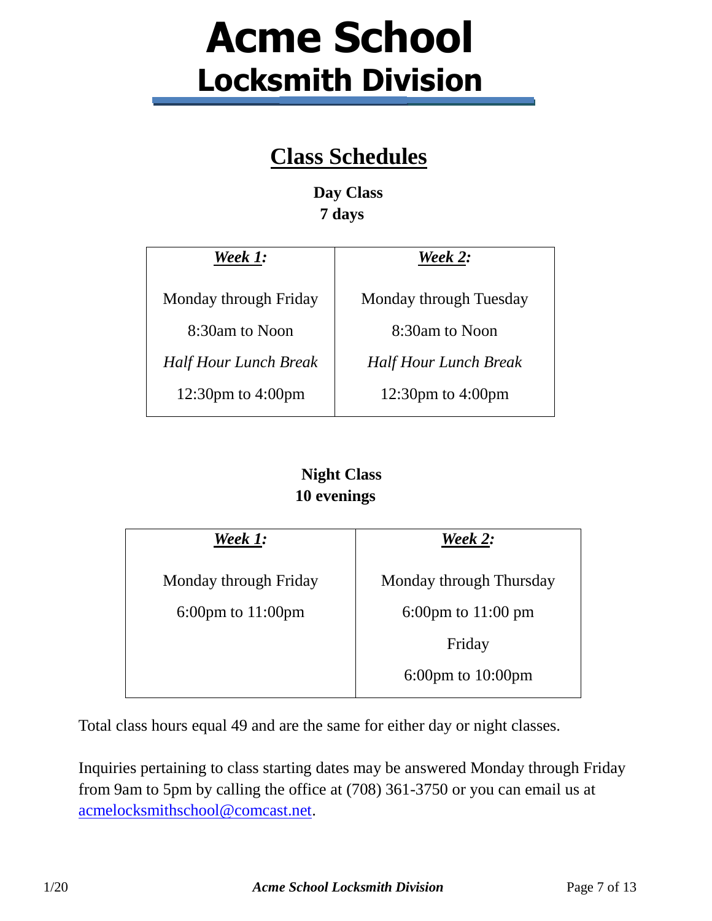#### **Class Schedules**

**Day Class 7 days** 

| Week 1:                      | Week 2:                      |
|------------------------------|------------------------------|
| Monday through Friday        | Monday through Tuesday       |
| 8:30am to Noon               | 8:30am to Noon               |
| <b>Half Hour Lunch Break</b> | <b>Half Hour Lunch Break</b> |
| 12:30pm to $4:00$ pm         | 12:30pm to $4:00$ pm         |

#### **Night Class 10 evenings**

| Week 1:                               | Week 2:                               |
|---------------------------------------|---------------------------------------|
| Monday through Friday                 | Monday through Thursday               |
| $6:00 \text{pm}$ to $11:00 \text{pm}$ | 6:00pm to $11:00$ pm                  |
|                                       | Friday                                |
|                                       | $6:00 \text{pm}$ to $10:00 \text{pm}$ |
|                                       |                                       |

Total class hours equal 49 and are the same for either day or night classes.

Inquiries pertaining to class starting dates may be answered Monday through Friday from 9am to 5pm by calling the office at (708) 361-3750 or you can email us at [acmelocksmithschool@comcast.net.](mailto:acmelocksmithschool@comcast.net)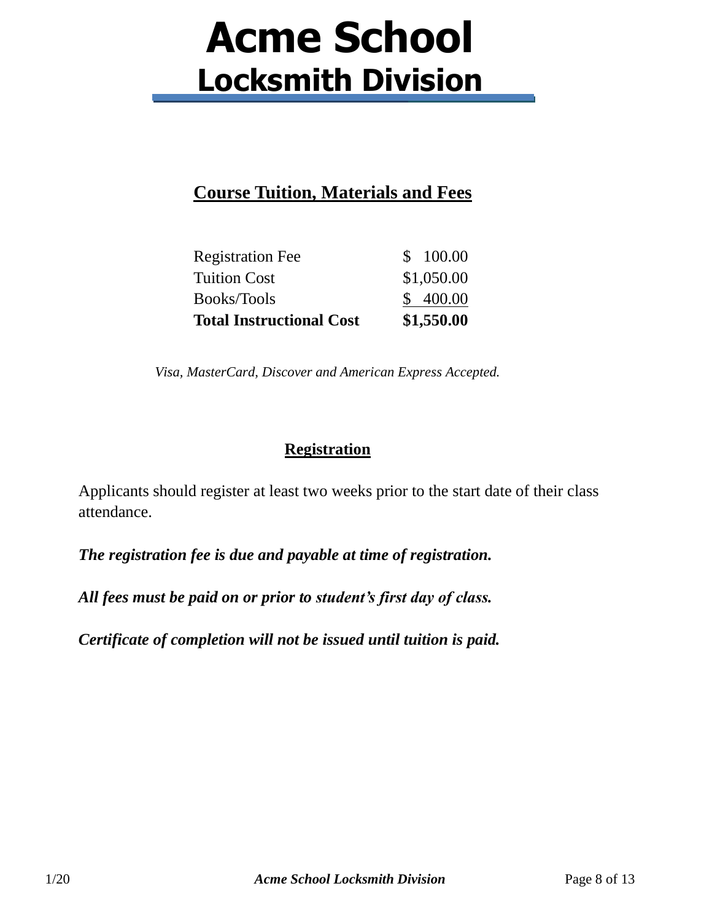#### **Course Tuition, Materials and Fees**

| <b>Total Instructional Cost</b> | \$1,550.00 |
|---------------------------------|------------|
| Books/Tools                     | \$400.00   |
| <b>Tuition Cost</b>             | \$1,050.00 |
| <b>Registration Fee</b>         | \$100.00   |

*Visa, MasterCard, Discover and American Express Accepted.* 

#### **Registration**

Applicants should register at least two weeks prior to the start date of their class attendance.

*The registration fee is due and payable at time of registration.* 

*All fees must be paid on or prior to student's first day of class.*

*Certificate of completion will not be issued until tuition is paid.*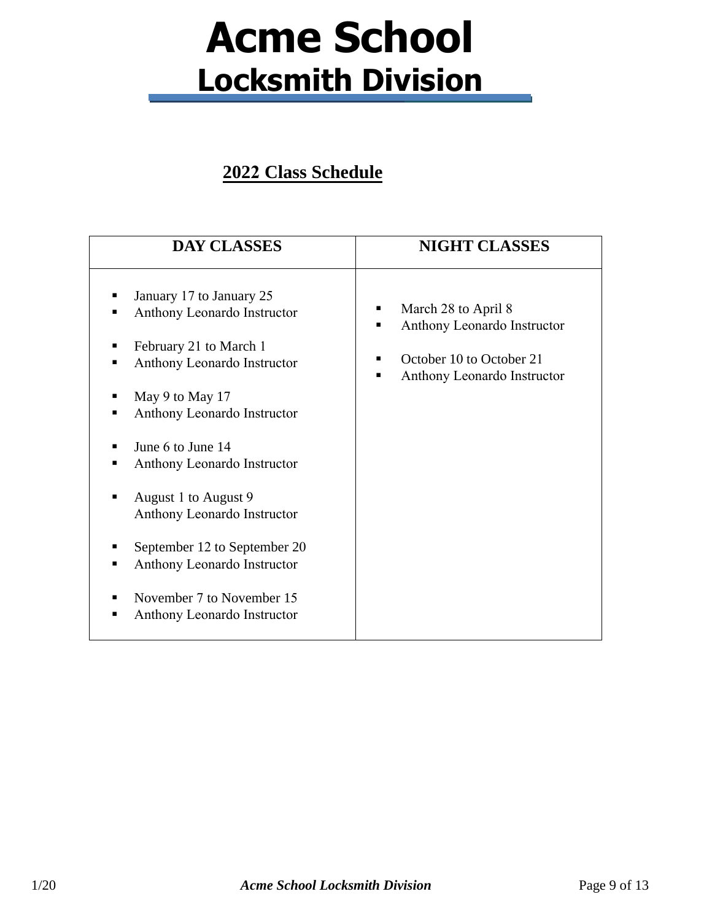#### **2022 Class Schedule**

| <b>DAY CLASSES</b>                                                                                                                                                                                                                                                                                                                                                                                                           | <b>NIGHT CLASSES</b>                                                                                               |
|------------------------------------------------------------------------------------------------------------------------------------------------------------------------------------------------------------------------------------------------------------------------------------------------------------------------------------------------------------------------------------------------------------------------------|--------------------------------------------------------------------------------------------------------------------|
| January 17 to January 25<br>п<br>Anthony Leonardo Instructor<br>п<br>February 21 to March 1<br>п<br>Anthony Leonardo Instructor<br>May 9 to May 17<br>Anthony Leonardo Instructor<br>June 6 to June 14<br>Anthony Leonardo Instructor<br>August 1 to August 9<br>Anthony Leonardo Instructor<br>September 12 to September 20<br>Anthony Leonardo Instructor<br>November 7 to November 15<br>Anthony Leonardo Instructor<br>п | March 28 to April 8<br>п<br>Anthony Leonardo Instructor<br>October 10 to October 21<br>Anthony Leonardo Instructor |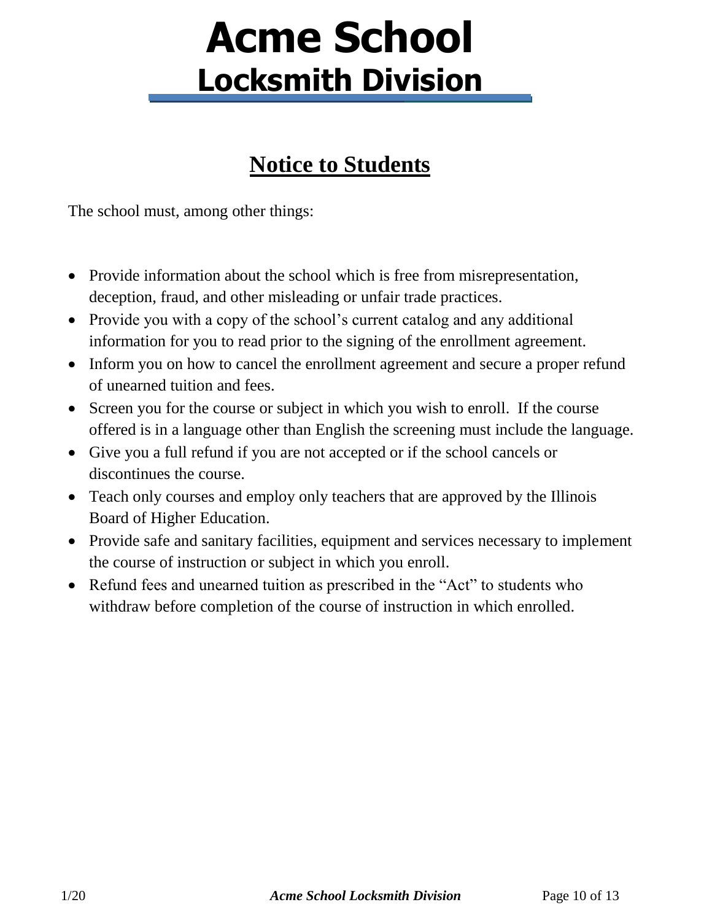### **Notice to Students**

The school must, among other things:

- Provide information about the school which is free from misrepresentation, deception, fraud, and other misleading or unfair trade practices.
- Provide you with a copy of the school's current catalog and any additional information for you to read prior to the signing of the enrollment agreement.
- Inform you on how to cancel the enrollment agreement and secure a proper refund of unearned tuition and fees.
- Screen you for the course or subject in which you wish to enroll. If the course offered is in a language other than English the screening must include the language.
- Give you a full refund if you are not accepted or if the school cancels or discontinues the course.
- Teach only courses and employ only teachers that are approved by the Illinois Board of Higher Education.
- Provide safe and sanitary facilities, equipment and services necessary to implement the course of instruction or subject in which you enroll.
- Refund fees and unearned tuition as prescribed in the "Act" to students who withdraw before completion of the course of instruction in which enrolled.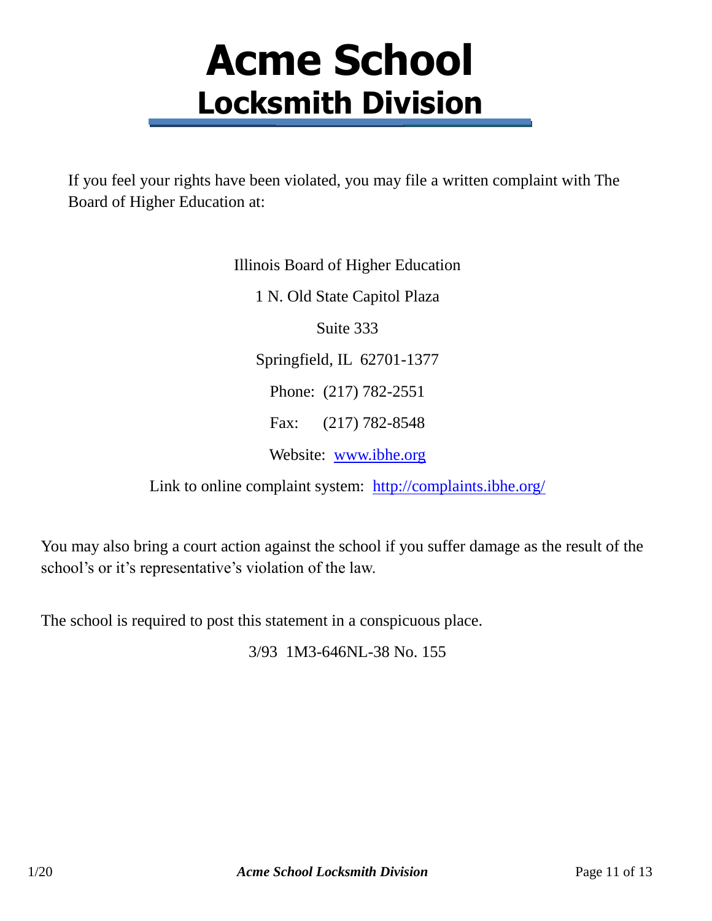If you feel your rights have been violated, you may file a written complaint with The Board of Higher Education at:

> Illinois Board of Higher Education 1 N. Old State Capitol Plaza Suite 333 Springfield, IL 62701-1377 Phone: (217) 782-2551 Fax: (217) 782-8548 Website: [www.ibhe.org](http://www.ibhe.org/)

Link to online complaint system: <http://complaints.ibhe.org/>

You may also bring a court action against the school if you suffer damage as the result of the school's or it's representative's violation of the law.

The school is required to post this statement in a conspicuous place.

3/93 1M3-646NL-38 No. 155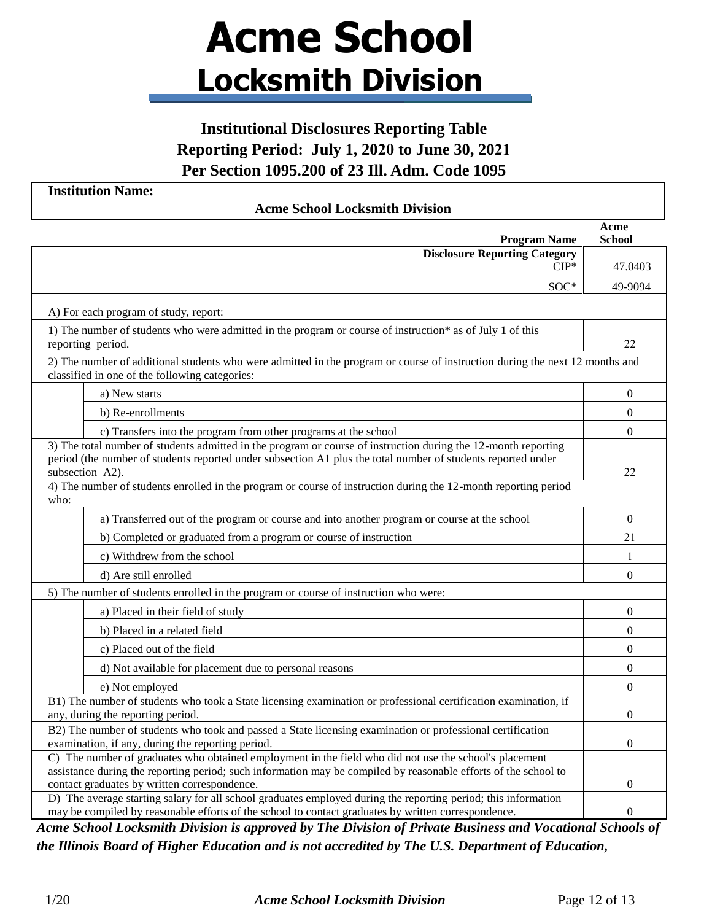#### **Institutional Disclosures Reporting Table Reporting Period: July 1, 2020 to June 30, 2021 Per Section 1095.200 of 23 Ill. Adm. Code 1095**

**Institution Name:**

#### **Acme School Locksmith Division**

| <b>Program Name</b>                                                                                                                                                                                                                               | Acme<br><b>School</b> |
|---------------------------------------------------------------------------------------------------------------------------------------------------------------------------------------------------------------------------------------------------|-----------------------|
| <b>Disclosure Reporting Category</b>                                                                                                                                                                                                              |                       |
| $CIP^*$                                                                                                                                                                                                                                           | 47.0403               |
| $SOC*$                                                                                                                                                                                                                                            | 49-9094               |
| A) For each program of study, report:                                                                                                                                                                                                             |                       |
| 1) The number of students who were admitted in the program or course of instruction* as of July 1 of this<br>reporting period.                                                                                                                    | 22                    |
| 2) The number of additional students who were admitted in the program or course of instruction during the next 12 months and<br>classified in one of the following categories:                                                                    |                       |
| a) New starts                                                                                                                                                                                                                                     | $\boldsymbol{0}$      |
| b) Re-enrollments                                                                                                                                                                                                                                 | $\boldsymbol{0}$      |
| c) Transfers into the program from other programs at the school                                                                                                                                                                                   | $\theta$              |
| 3) The total number of students admitted in the program or course of instruction during the 12-month reporting<br>period (the number of students reported under subsection A1 plus the total number of students reported under<br>subsection A2). | 22                    |
| 4) The number of students enrolled in the program or course of instruction during the 12-month reporting period<br>who:                                                                                                                           |                       |
| a) Transferred out of the program or course and into another program or course at the school                                                                                                                                                      | $\Omega$              |
| b) Completed or graduated from a program or course of instruction                                                                                                                                                                                 | 21                    |
| c) Withdrew from the school                                                                                                                                                                                                                       | 1                     |
| d) Are still enrolled                                                                                                                                                                                                                             | $\boldsymbol{0}$      |
| 5) The number of students enrolled in the program or course of instruction who were:                                                                                                                                                              |                       |
| a) Placed in their field of study                                                                                                                                                                                                                 | $\Omega$              |
| b) Placed in a related field                                                                                                                                                                                                                      | $\theta$              |
| c) Placed out of the field                                                                                                                                                                                                                        | $\theta$              |
| d) Not available for placement due to personal reasons                                                                                                                                                                                            | $\mathbf{0}$          |
| e) Not employed                                                                                                                                                                                                                                   | $\boldsymbol{0}$      |
| B1) The number of students who took a State licensing examination or professional certification examination, if<br>any, during the reporting period.                                                                                              | $\theta$              |
| B2) The number of students who took and passed a State licensing examination or professional certification<br>examination, if any, during the reporting period.                                                                                   | $\Omega$              |
| C) The number of graduates who obtained employment in the field who did not use the school's placement                                                                                                                                            |                       |
| assistance during the reporting period; such information may be compiled by reasonable efforts of the school to<br>contact graduates by written correspondence.                                                                                   | 0                     |
| D) The average starting salary for all school graduates employed during the reporting period; this information<br>may be compiled by reasonable efforts of the school to contact graduates by written correspondence.                             | $\boldsymbol{0}$      |

*Acme School Locksmith Division is approved by The Division of Private Business and Vocational Schools of the Illinois Board of Higher Education and is not accredited by The U.S. Department of Education,*